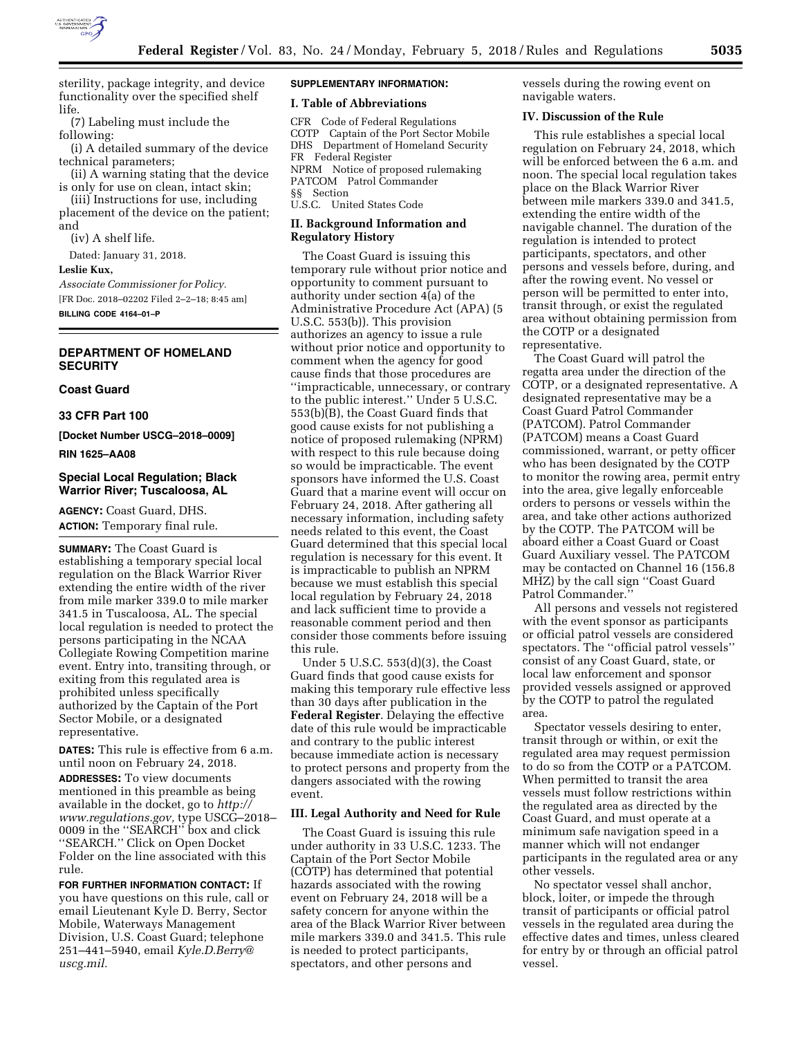

sterility, package integrity, and device functionality over the specified shelf life.

(7) Labeling must include the following:

(i) A detailed summary of the device technical parameters;

(ii) A warning stating that the device is only for use on clean, intact skin;

(iii) Instructions for use, including placement of the device on the patient; and

(iv) A shelf life.

Dated: January 31, 2018.

**Leslie Kux,** 

*Associate Commissioner for Policy.*  [FR Doc. 2018–02202 Filed 2–2–18; 8:45 am] **BILLING CODE 4164–01–P** 

# **DEPARTMENT OF HOMELAND SECURITY**

### **Coast Guard**

**33 CFR Part 100** 

**[Docket Number USCG–2018–0009]** 

**RIN 1625–AA08** 

# **Special Local Regulation; Black Warrior River; Tuscaloosa, AL**

**AGENCY:** Coast Guard, DHS. **ACTION:** Temporary final rule.

**SUMMARY:** The Coast Guard is establishing a temporary special local regulation on the Black Warrior River extending the entire width of the river from mile marker 339.0 to mile marker 341.5 in Tuscaloosa, AL. The special local regulation is needed to protect the persons participating in the NCAA Collegiate Rowing Competition marine event. Entry into, transiting through, or exiting from this regulated area is prohibited unless specifically authorized by the Captain of the Port Sector Mobile, or a designated representative.

**DATES:** This rule is effective from 6 a.m. until noon on February 24, 2018. **ADDRESSES:** To view documents mentioned in this preamble as being available in the docket, go to *[http://](http://www.regulations.gov) [www.regulations.gov,](http://www.regulations.gov)* type USCG–2018– 0009 in the ''SEARCH'' box and click ''SEARCH.'' Click on Open Docket Folder on the line associated with this rule.

**FOR FURTHER INFORMATION CONTACT:** If you have questions on this rule, call or email Lieutenant Kyle D. Berry, Sector Mobile, Waterways Management Division, U.S. Coast Guard; telephone 251–441–5940, email *[Kyle.D.Berry@](mailto:Kyle.D.Berry@uscg.mil) [uscg.mil.](mailto:Kyle.D.Berry@uscg.mil)* 

# **SUPPLEMENTARY INFORMATION:**

# **I. Table of Abbreviations**

CFR Code of Federal Regulations COTP Captain of the Port Sector Mobile DHS Department of Homeland Security FR Federal Register NPRM Notice of proposed rulemaking PATCOM Patrol Commander §§ Section U.S.C. United States Code

### **II. Background Information and Regulatory History**

The Coast Guard is issuing this temporary rule without prior notice and opportunity to comment pursuant to authority under section 4(a) of the Administrative Procedure Act (APA) (5 U.S.C. 553(b)). This provision authorizes an agency to issue a rule without prior notice and opportunity to comment when the agency for good cause finds that those procedures are ''impracticable, unnecessary, or contrary to the public interest.'' Under 5 U.S.C. 553(b)(B), the Coast Guard finds that good cause exists for not publishing a notice of proposed rulemaking (NPRM) with respect to this rule because doing so would be impracticable. The event sponsors have informed the U.S. Coast Guard that a marine event will occur on February 24, 2018. After gathering all necessary information, including safety needs related to this event, the Coast Guard determined that this special local regulation is necessary for this event. It is impracticable to publish an NPRM because we must establish this special local regulation by February 24, 2018 and lack sufficient time to provide a reasonable comment period and then consider those comments before issuing this rule.

Under 5 U.S.C. 553(d)(3), the Coast Guard finds that good cause exists for making this temporary rule effective less than 30 days after publication in the **Federal Register**. Delaying the effective date of this rule would be impracticable and contrary to the public interest because immediate action is necessary to protect persons and property from the dangers associated with the rowing event.

# **III. Legal Authority and Need for Rule**

The Coast Guard is issuing this rule under authority in 33 U.S.C. 1233. The Captain of the Port Sector Mobile (COTP) has determined that potential hazards associated with the rowing event on February 24, 2018 will be a safety concern for anyone within the area of the Black Warrior River between mile markers 339.0 and 341.5. This rule is needed to protect participants, spectators, and other persons and

vessels during the rowing event on navigable waters.

#### **IV. Discussion of the Rule**

This rule establishes a special local regulation on February 24, 2018, which will be enforced between the 6 a.m. and noon. The special local regulation takes place on the Black Warrior River between mile markers 339.0 and 341.5, extending the entire width of the navigable channel. The duration of the regulation is intended to protect participants, spectators, and other persons and vessels before, during, and after the rowing event. No vessel or person will be permitted to enter into, transit through, or exist the regulated area without obtaining permission from the COTP or a designated representative.

The Coast Guard will patrol the regatta area under the direction of the COTP, or a designated representative. A designated representative may be a Coast Guard Patrol Commander (PATCOM). Patrol Commander (PATCOM) means a Coast Guard commissioned, warrant, or petty officer who has been designated by the COTP to monitor the rowing area, permit entry into the area, give legally enforceable orders to persons or vessels within the area, and take other actions authorized by the COTP. The PATCOM will be aboard either a Coast Guard or Coast Guard Auxiliary vessel. The PATCOM may be contacted on Channel 16 (156.8 MHZ) by the call sign ''Coast Guard Patrol Commander.''

All persons and vessels not registered with the event sponsor as participants or official patrol vessels are considered spectators. The ''official patrol vessels'' consist of any Coast Guard, state, or local law enforcement and sponsor provided vessels assigned or approved by the COTP to patrol the regulated area.

Spectator vessels desiring to enter, transit through or within, or exit the regulated area may request permission to do so from the COTP or a PATCOM. When permitted to transit the area vessels must follow restrictions within the regulated area as directed by the Coast Guard, and must operate at a minimum safe navigation speed in a manner which will not endanger participants in the regulated area or any other vessels.

No spectator vessel shall anchor, block, loiter, or impede the through transit of participants or official patrol vessels in the regulated area during the effective dates and times, unless cleared for entry by or through an official patrol vessel.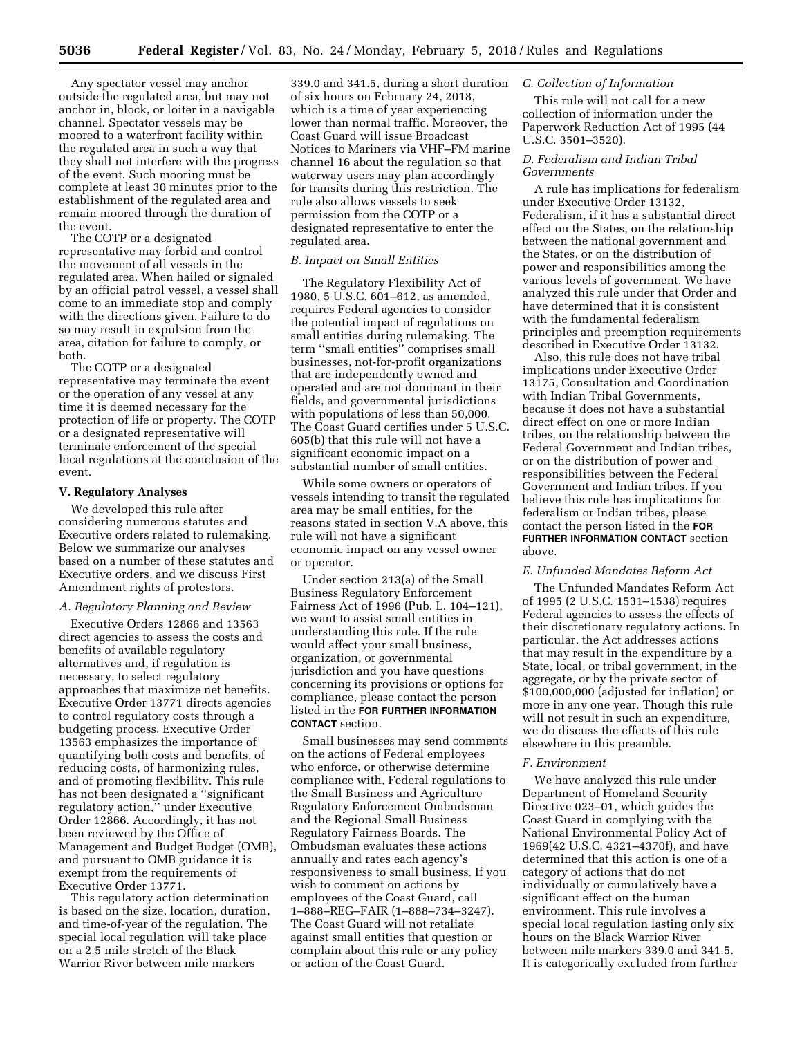Any spectator vessel may anchor outside the regulated area, but may not anchor in, block, or loiter in a navigable channel. Spectator vessels may be moored to a waterfront facility within the regulated area in such a way that they shall not interfere with the progress of the event. Such mooring must be complete at least 30 minutes prior to the establishment of the regulated area and remain moored through the duration of the event.

The COTP or a designated representative may forbid and control the movement of all vessels in the regulated area. When hailed or signaled by an official patrol vessel, a vessel shall come to an immediate stop and comply with the directions given. Failure to do so may result in expulsion from the area, citation for failure to comply, or both.

The COTP or a designated representative may terminate the event or the operation of any vessel at any time it is deemed necessary for the protection of life or property. The COTP or a designated representative will terminate enforcement of the special local regulations at the conclusion of the event.

#### **V. Regulatory Analyses**

We developed this rule after considering numerous statutes and Executive orders related to rulemaking. Below we summarize our analyses based on a number of these statutes and Executive orders, and we discuss First Amendment rights of protestors.

#### *A. Regulatory Planning and Review*

Executive Orders 12866 and 13563 direct agencies to assess the costs and benefits of available regulatory alternatives and, if regulation is necessary, to select regulatory approaches that maximize net benefits. Executive Order 13771 directs agencies to control regulatory costs through a budgeting process. Executive Order 13563 emphasizes the importance of quantifying both costs and benefits, of reducing costs, of harmonizing rules, and of promoting flexibility. This rule has not been designated a ''significant regulatory action,'' under Executive Order 12866. Accordingly, it has not been reviewed by the Office of Management and Budget Budget (OMB), and pursuant to OMB guidance it is exempt from the requirements of Executive Order 13771.

This regulatory action determination is based on the size, location, duration, and time-of-year of the regulation. The special local regulation will take place on a 2.5 mile stretch of the Black Warrior River between mile markers

339.0 and 341.5, during a short duration of six hours on February 24, 2018, which is a time of year experiencing lower than normal traffic. Moreover, the Coast Guard will issue Broadcast Notices to Mariners via VHF–FM marine channel 16 about the regulation so that waterway users may plan accordingly for transits during this restriction. The rule also allows vessels to seek permission from the COTP or a designated representative to enter the regulated area.

#### *B. Impact on Small Entities*

The Regulatory Flexibility Act of 1980, 5 U.S.C. 601–612, as amended, requires Federal agencies to consider the potential impact of regulations on small entities during rulemaking. The term ''small entities'' comprises small businesses, not-for-profit organizations that are independently owned and operated and are not dominant in their fields, and governmental jurisdictions with populations of less than 50,000. The Coast Guard certifies under 5 U.S.C. 605(b) that this rule will not have a significant economic impact on a substantial number of small entities.

While some owners or operators of vessels intending to transit the regulated area may be small entities, for the reasons stated in section V.A above, this rule will not have a significant economic impact on any vessel owner or operator.

Under section 213(a) of the Small Business Regulatory Enforcement Fairness Act of 1996 (Pub. L. 104–121), we want to assist small entities in understanding this rule. If the rule would affect your small business, organization, or governmental jurisdiction and you have questions concerning its provisions or options for compliance, please contact the person listed in the **FOR FURTHER INFORMATION CONTACT** section.

Small businesses may send comments on the actions of Federal employees who enforce, or otherwise determine compliance with, Federal regulations to the Small Business and Agriculture Regulatory Enforcement Ombudsman and the Regional Small Business Regulatory Fairness Boards. The Ombudsman evaluates these actions annually and rates each agency's responsiveness to small business. If you wish to comment on actions by employees of the Coast Guard, call 1–888–REG–FAIR (1–888–734–3247). The Coast Guard will not retaliate against small entities that question or complain about this rule or any policy or action of the Coast Guard.

### *C. Collection of Information*

This rule will not call for a new collection of information under the Paperwork Reduction Act of 1995 (44 U.S.C. 3501–3520).

# *D. Federalism and Indian Tribal Governments*

A rule has implications for federalism under Executive Order 13132, Federalism, if it has a substantial direct effect on the States, on the relationship between the national government and the States, or on the distribution of power and responsibilities among the various levels of government. We have analyzed this rule under that Order and have determined that it is consistent with the fundamental federalism principles and preemption requirements described in Executive Order 13132.

Also, this rule does not have tribal implications under Executive Order 13175, Consultation and Coordination with Indian Tribal Governments, because it does not have a substantial direct effect on one or more Indian tribes, on the relationship between the Federal Government and Indian tribes, or on the distribution of power and responsibilities between the Federal Government and Indian tribes. If you believe this rule has implications for federalism or Indian tribes, please contact the person listed in the **FOR FURTHER INFORMATION CONTACT** section above.

#### *E. Unfunded Mandates Reform Act*

The Unfunded Mandates Reform Act of 1995 (2 U.S.C. 1531–1538) requires Federal agencies to assess the effects of their discretionary regulatory actions. In particular, the Act addresses actions that may result in the expenditure by a State, local, or tribal government, in the aggregate, or by the private sector of \$100,000,000 (adjusted for inflation) or more in any one year. Though this rule will not result in such an expenditure, we do discuss the effects of this rule elsewhere in this preamble.

#### *F. Environment*

We have analyzed this rule under Department of Homeland Security Directive 023–01, which guides the Coast Guard in complying with the National Environmental Policy Act of 1969(42 U.S.C. 4321–4370f), and have determined that this action is one of a category of actions that do not individually or cumulatively have a significant effect on the human environment. This rule involves a special local regulation lasting only six hours on the Black Warrior River between mile markers 339.0 and 341.5. It is categorically excluded from further